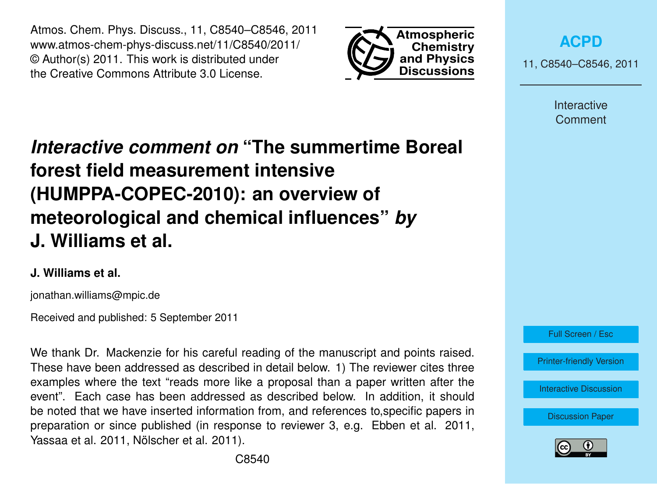Atmos. Chem. Phys. Discuss., 11, C8540–C8546, 2011 www.atmos-chem-phys-discuss.net/11/C8540/2011/ © Author(s) 2011. This work is distributed under the Creative Commons Attribute 3.0 License.



**[ACPD](http://www.atmos-chem-phys-discuss.net)**

11, C8540–C8546, 2011

Interactive **Comment** 

# *Interactive comment on* **"The summertime Boreal forest field measurement intensive (HUMPPA-COPEC-2010): an overview of meteorological and chemical influences"** *by* **J. Williams et al.**

## **J. Williams et al.**

jonathan.williams@mpic.de

Received and published: 5 September 2011

We thank Dr. Mackenzie for his careful reading of the manuscript and points raised. These have been addressed as described in detail below. 1) The reviewer cites three examples where the text "reads more like a proposal than a paper written after the event". Each case has been addressed as described below. In addition, it should be noted that we have inserted information from, and references to,specific papers in preparation or since published (in response to reviewer 3, e.g. Ebben et al. 2011, Yassaa et al. 2011, Nölscher et al. 2011).



[Printer-friendly Version](http://www.atmos-chem-phys-discuss.net/11/C8540/2011/acpd-11-C8540-2011-print.pdf)

[Interactive Discussion](http://www.atmos-chem-phys-discuss.net/11/15921/2011/acpd-11-15921-2011-discussion.html)

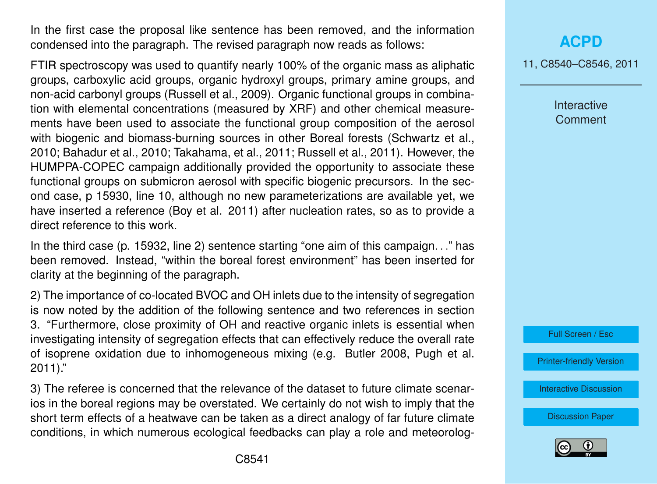In the first case the proposal like sentence has been removed, and the information condensed into the paragraph. The revised paragraph now reads as follows:

FTIR spectroscopy was used to quantify nearly 100% of the organic mass as aliphatic groups, carboxylic acid groups, organic hydroxyl groups, primary amine groups, and non-acid carbonyl groups (Russell et al., 2009). Organic functional groups in combination with elemental concentrations (measured by XRF) and other chemical measurements have been used to associate the functional group composition of the aerosol with biogenic and biomass-burning sources in other Boreal forests (Schwartz et al., 2010; Bahadur et al., 2010; Takahama, et al., 2011; Russell et al., 2011). However, the HUMPPA-COPEC campaign additionally provided the opportunity to associate these functional groups on submicron aerosol with specific biogenic precursors. In the second case, p 15930, line 10, although no new parameterizations are available yet, we have inserted a reference (Boy et al. 2011) after nucleation rates, so as to provide a direct reference to this work.

In the third case (p. 15932, line 2) sentence starting "one aim of this campaign. . ." has been removed. Instead, "within the boreal forest environment" has been inserted for clarity at the beginning of the paragraph.

2) The importance of co-located BVOC and OH inlets due to the intensity of segregation is now noted by the addition of the following sentence and two references in section 3. "Furthermore, close proximity of OH and reactive organic inlets is essential when investigating intensity of segregation effects that can effectively reduce the overall rate of isoprene oxidation due to inhomogeneous mixing (e.g. Butler 2008, Pugh et al. 2011)."

3) The referee is concerned that the relevance of the dataset to future climate scenarios in the boreal regions may be overstated. We certainly do not wish to imply that the short term effects of a heatwave can be taken as a direct analogy of far future climate conditions, in which numerous ecological feedbacks can play a role and meteorolog-

## **[ACPD](http://www.atmos-chem-phys-discuss.net)**

11, C8540–C8546, 2011

Interactive **Comment** 



[Printer-friendly Version](http://www.atmos-chem-phys-discuss.net/11/C8540/2011/acpd-11-C8540-2011-print.pdf)

[Interactive Discussion](http://www.atmos-chem-phys-discuss.net/11/15921/2011/acpd-11-15921-2011-discussion.html)

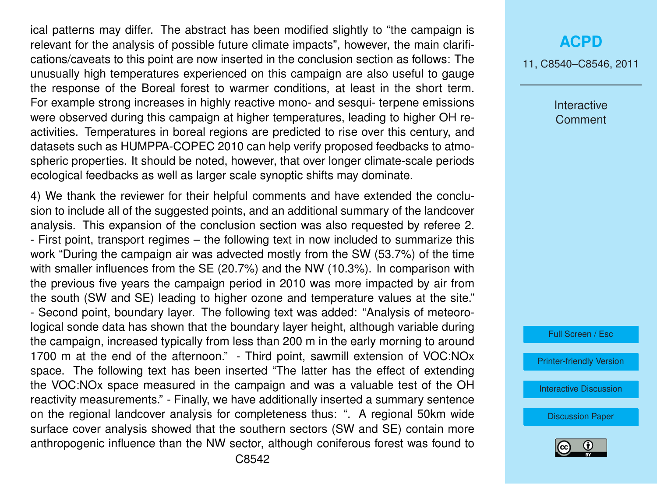ical patterns may differ. The abstract has been modified slightly to "the campaign is relevant for the analysis of possible future climate impacts", however, the main clarifications/caveats to this point are now inserted in the conclusion section as follows: The unusually high temperatures experienced on this campaign are also useful to gauge the response of the Boreal forest to warmer conditions, at least in the short term. For example strong increases in highly reactive mono- and sesqui- terpene emissions were observed during this campaign at higher temperatures, leading to higher OH reactivities. Temperatures in boreal regions are predicted to rise over this century, and datasets such as HUMPPA-COPEC 2010 can help verify proposed feedbacks to atmospheric properties. It should be noted, however, that over longer climate-scale periods ecological feedbacks as well as larger scale synoptic shifts may dominate.

4) We thank the reviewer for their helpful comments and have extended the conclusion to include all of the suggested points, and an additional summary of the landcover analysis. This expansion of the conclusion section was also requested by referee 2. - First point, transport regimes – the following text in now included to summarize this work "During the campaign air was advected mostly from the SW (53.7%) of the time with smaller influences from the SE (20.7%) and the NW (10.3%). In comparison with the previous five years the campaign period in 2010 was more impacted by air from the south (SW and SE) leading to higher ozone and temperature values at the site." - Second point, boundary layer. The following text was added: "Analysis of meteorological sonde data has shown that the boundary layer height, although variable during the campaign, increased typically from less than 200 m in the early morning to around 1700 m at the end of the afternoon." - Third point, sawmill extension of VOC:NOx space. The following text has been inserted "The latter has the effect of extending the VOC:NOx space measured in the campaign and was a valuable test of the OH reactivity measurements." - Finally, we have additionally inserted a summary sentence on the regional landcover analysis for completeness thus: ". A regional 50km wide surface cover analysis showed that the southern sectors (SW and SE) contain more anthropogenic influence than the NW sector, although coniferous forest was found to

11, C8540–C8546, 2011

Interactive **Comment** 

Full Screen / Esc

[Printer-friendly Version](http://www.atmos-chem-phys-discuss.net/11/C8540/2011/acpd-11-C8540-2011-print.pdf)

[Interactive Discussion](http://www.atmos-chem-phys-discuss.net/11/15921/2011/acpd-11-15921-2011-discussion.html)

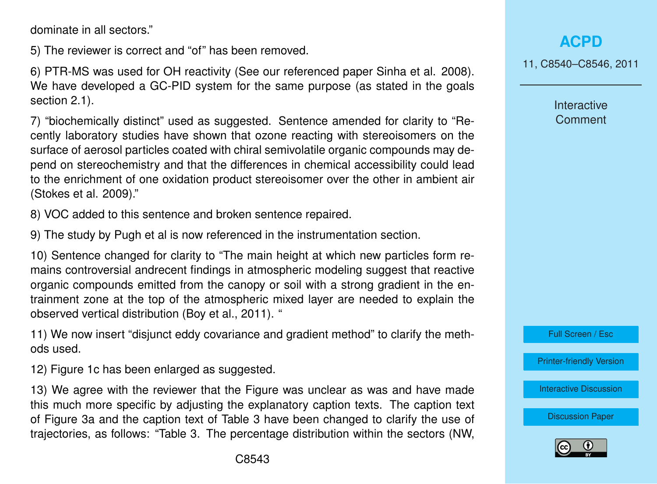dominate in all sectors."

5) The reviewer is correct and "of" has been removed.

6) PTR-MS was used for OH reactivity (See our referenced paper Sinha et al. 2008). We have developed a GC-PID system for the same purpose (as stated in the goals section 2.1).

7) "biochemically distinct" used as suggested. Sentence amended for clarity to "Recently laboratory studies have shown that ozone reacting with stereoisomers on the surface of aerosol particles coated with chiral semivolatile organic compounds may depend on stereochemistry and that the differences in chemical accessibility could lead to the enrichment of one oxidation product stereoisomer over the other in ambient air (Stokes et al. 2009)."

8) VOC added to this sentence and broken sentence repaired.

9) The study by Pugh et al is now referenced in the instrumentation section.

10) Sentence changed for clarity to "The main height at which new particles form remains controversial andrecent findings in atmospheric modeling suggest that reactive organic compounds emitted from the canopy or soil with a strong gradient in the entrainment zone at the top of the atmospheric mixed layer are needed to explain the observed vertical distribution (Boy et al., 2011). "

11) We now insert "disjunct eddy covariance and gradient method" to clarify the methods used.

12) Figure 1c has been enlarged as suggested.

13) We agree with the reviewer that the Figure was unclear as was and have made this much more specific by adjusting the explanatory caption texts. The caption text of Figure 3a and the caption text of Table 3 have been changed to clarify the use of trajectories, as follows: "Table 3. The percentage distribution within the sectors (NW,

**[ACPD](http://www.atmos-chem-phys-discuss.net)**

11, C8540–C8546, 2011

Interactive **Comment** 

Full Screen / Esc

[Printer-friendly Version](http://www.atmos-chem-phys-discuss.net/11/C8540/2011/acpd-11-C8540-2011-print.pdf)

[Interactive Discussion](http://www.atmos-chem-phys-discuss.net/11/15921/2011/acpd-11-15921-2011-discussion.html)

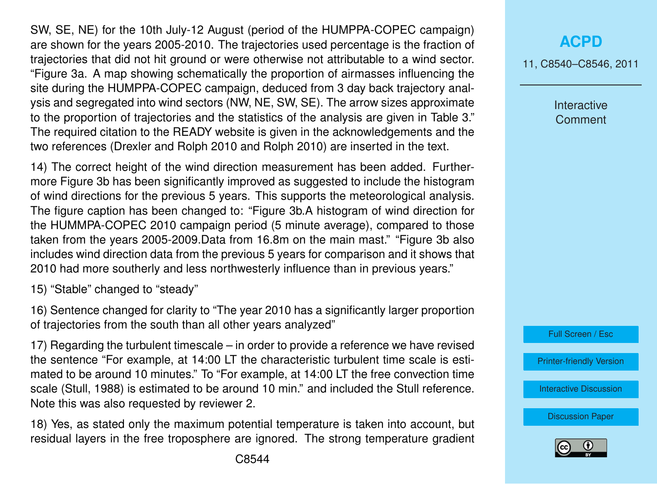SW, SE, NE) for the 10th July-12 August (period of the HUMPPA-COPEC campaign) are shown for the years 2005-2010. The trajectories used percentage is the fraction of trajectories that did not hit ground or were otherwise not attributable to a wind sector. "Figure 3a. A map showing schematically the proportion of airmasses influencing the site during the HUMPPA-COPEC campaign, deduced from 3 day back trajectory analysis and segregated into wind sectors (NW, NE, SW, SE). The arrow sizes approximate to the proportion of trajectories and the statistics of the analysis are given in Table 3." The required citation to the READY website is given in the acknowledgements and the two references (Drexler and Rolph 2010 and Rolph 2010) are inserted in the text.

14) The correct height of the wind direction measurement has been added. Furthermore Figure 3b has been significantly improved as suggested to include the histogram of wind directions for the previous 5 years. This supports the meteorological analysis. The figure caption has been changed to: "Figure 3b.A histogram of wind direction for the HUMMPA-COPEC 2010 campaign period (5 minute average), compared to those taken from the years 2005-2009.Data from 16.8m on the main mast." "Figure 3b also includes wind direction data from the previous 5 years for comparison and it shows that 2010 had more southerly and less northwesterly influence than in previous years."

15) "Stable" changed to "steady"

16) Sentence changed for clarity to "The year 2010 has a significantly larger proportion of trajectories from the south than all other years analyzed"

17) Regarding the turbulent timescale – in order to provide a reference we have revised the sentence "For example, at 14:00 LT the characteristic turbulent time scale is estimated to be around 10 minutes." To "For example, at 14:00 LT the free convection time scale (Stull, 1988) is estimated to be around 10 min." and included the Stull reference. Note this was also requested by reviewer 2.

18) Yes, as stated only the maximum potential temperature is taken into account, but residual layers in the free troposphere are ignored. The strong temperature gradient

11, C8540–C8546, 2011

Interactive **Comment** 



[Printer-friendly Version](http://www.atmos-chem-phys-discuss.net/11/C8540/2011/acpd-11-C8540-2011-print.pdf)

[Interactive Discussion](http://www.atmos-chem-phys-discuss.net/11/15921/2011/acpd-11-15921-2011-discussion.html)

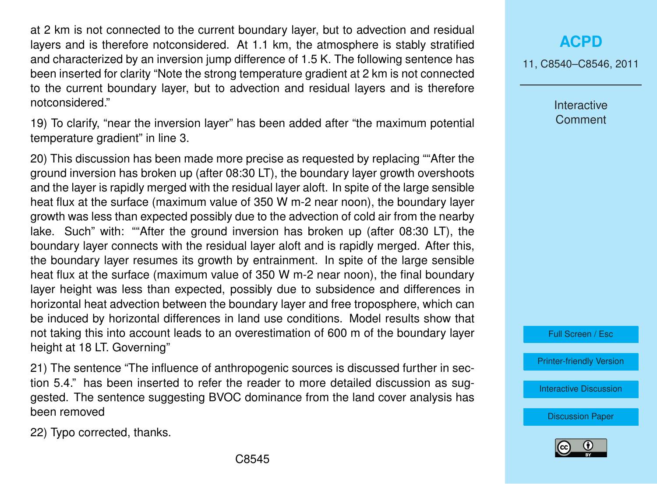at 2 km is not connected to the current boundary layer, but to advection and residual layers and is therefore notconsidered. At 1.1 km, the atmosphere is stably stratified and characterized by an inversion jump difference of 1.5 K. The following sentence has been inserted for clarity "Note the strong temperature gradient at 2 km is not connected to the current boundary layer, but to advection and residual layers and is therefore notconsidered."

19) To clarify, "near the inversion layer" has been added after "the maximum potential temperature gradient" in line 3.

20) This discussion has been made more precise as requested by replacing ""After the ground inversion has broken up (after 08:30 LT), the boundary layer growth overshoots and the layer is rapidly merged with the residual layer aloft. In spite of the large sensible heat flux at the surface (maximum value of 350 W m-2 near noon), the boundary layer growth was less than expected possibly due to the advection of cold air from the nearby lake. Such" with: ""After the ground inversion has broken up (after 08:30 LT), the boundary layer connects with the residual layer aloft and is rapidly merged. After this, the boundary layer resumes its growth by entrainment. In spite of the large sensible heat flux at the surface (maximum value of 350 W m-2 near noon), the final boundary layer height was less than expected, possibly due to subsidence and differences in horizontal heat advection between the boundary layer and free troposphere, which can be induced by horizontal differences in land use conditions. Model results show that not taking this into account leads to an overestimation of 600 m of the boundary layer height at 18 LT. Governing"

21) The sentence "The influence of anthropogenic sources is discussed further in section 5.4." has been inserted to refer the reader to more detailed discussion as suggested. The sentence suggesting BVOC dominance from the land cover analysis has been removed

22) Typo corrected, thanks.

### **[ACPD](http://www.atmos-chem-phys-discuss.net)**

11, C8540–C8546, 2011

Interactive **Comment** 

Full Screen / Esc

[Printer-friendly Version](http://www.atmos-chem-phys-discuss.net/11/C8540/2011/acpd-11-C8540-2011-print.pdf)

[Interactive Discussion](http://www.atmos-chem-phys-discuss.net/11/15921/2011/acpd-11-15921-2011-discussion.html)